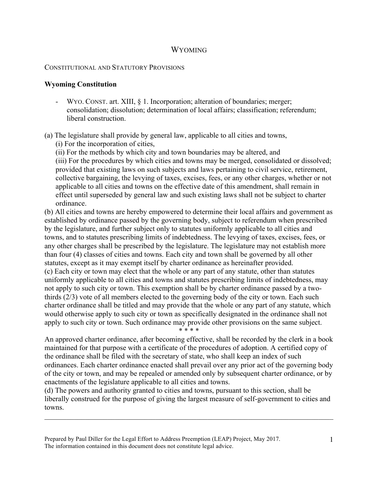# WYOMING

### CONSTITUTIONAL AND STATUTORY PROVISIONS

### **Wyoming Constitution**

WYO. CONST. art. XIII, § 1. Incorporation; alteration of boundaries; merger; consolidation; dissolution; determination of local affairs; classification; referendum; liberal construction.

# (a) The legislature shall provide by general law, applicable to all cities and towns,

- (i) For the incorporation of cities,
- (ii) For the methods by which city and town boundaries may be altered, and

(iii) For the procedures by which cities and towns may be merged, consolidated or dissolved; provided that existing laws on such subjects and laws pertaining to civil service, retirement, collective bargaining, the levying of taxes, excises, fees, or any other charges, whether or not applicable to all cities and towns on the effective date of this amendment, shall remain in effect until superseded by general law and such existing laws shall not be subject to charter ordinance.

(b) All cities and towns are hereby empowered to determine their local affairs and government as established by ordinance passed by the governing body, subject to referendum when prescribed by the legislature, and further subject only to statutes uniformly applicable to all cities and towns, and to statutes prescribing limits of indebtedness. The levying of taxes, excises, fees, or any other charges shall be prescribed by the legislature. The legislature may not establish more than four (4) classes of cities and towns. Each city and town shall be governed by all other statutes, except as it may exempt itself by charter ordinance as hereinafter provided. (c) Each city or town may elect that the whole or any part of any statute, other than statutes uniformly applicable to all cities and towns and statutes prescribing limits of indebtedness, may not apply to such city or town. This exemption shall be by charter ordinance passed by a twothirds (2/3) vote of all members elected to the governing body of the city or town. Each such charter ordinance shall be titled and may provide that the whole or any part of any statute, which would otherwise apply to such city or town as specifically designated in the ordinance shall not apply to such city or town. Such ordinance may provide other provisions on the same subject.

\* \* \* \*

An approved charter ordinance, after becoming effective, shall be recorded by the clerk in a book maintained for that purpose with a certificate of the procedures of adoption. A certified copy of the ordinance shall be filed with the secretary of state, who shall keep an index of such ordinances. Each charter ordinance enacted shall prevail over any prior act of the governing body of the city or town, and may be repealed or amended only by subsequent charter ordinance, or by enactments of the legislature applicable to all cities and towns.

(d) The powers and authority granted to cities and towns, pursuant to this section, shall be liberally construed for the purpose of giving the largest measure of self-government to cities and towns.

 $\mathcal{L}_\mathcal{L} = \{ \mathcal{L}_\mathcal{L} = \{ \mathcal{L}_\mathcal{L} = \{ \mathcal{L}_\mathcal{L} = \{ \mathcal{L}_\mathcal{L} = \{ \mathcal{L}_\mathcal{L} = \{ \mathcal{L}_\mathcal{L} = \{ \mathcal{L}_\mathcal{L} = \{ \mathcal{L}_\mathcal{L} = \{ \mathcal{L}_\mathcal{L} = \{ \mathcal{L}_\mathcal{L} = \{ \mathcal{L}_\mathcal{L} = \{ \mathcal{L}_\mathcal{L} = \{ \mathcal{L}_\mathcal{L} = \{ \mathcal{L}_\mathcal{$ 

Prepared by Paul Diller for the Legal Effort to Address Preemption (LEAP) Project, May 2017. The information contained in this document does not constitute legal advice.